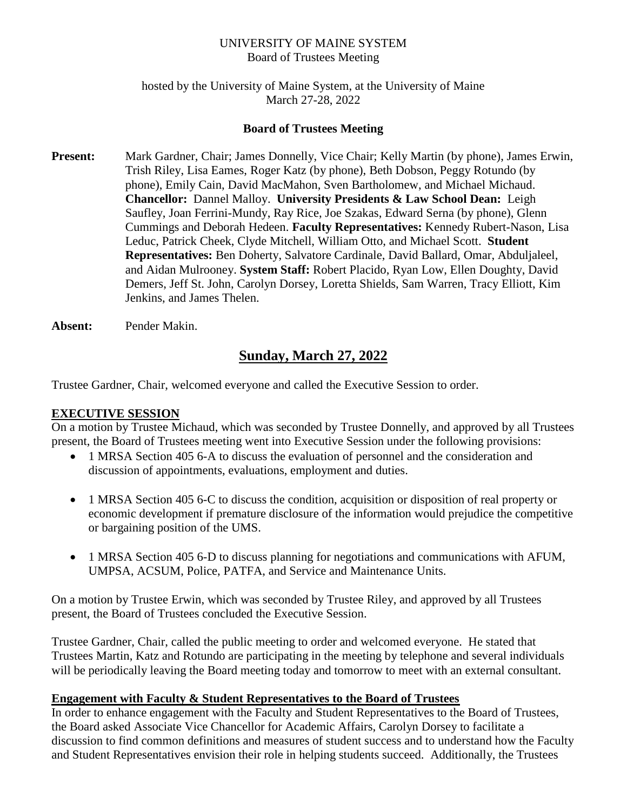#### UNIVERSITY OF MAINE SYSTEM Board of Trustees Meeting

### hosted by the University of Maine System, at the University of Maine March 27-28, 2022

### **Board of Trustees Meeting**

- **Present:** Mark Gardner, Chair; James Donnelly, Vice Chair; Kelly Martin (by phone), James Erwin, Trish Riley, Lisa Eames, Roger Katz (by phone), Beth Dobson, Peggy Rotundo (by phone), Emily Cain, David MacMahon, Sven Bartholomew, and Michael Michaud. **Chancellor:** Dannel Malloy. **University Presidents & Law School Dean:** Leigh Saufley, Joan Ferrini-Mundy, Ray Rice, Joe Szakas, Edward Serna (by phone), Glenn Cummings and Deborah Hedeen. **Faculty Representatives:** Kennedy Rubert-Nason, Lisa Leduc, Patrick Cheek, Clyde Mitchell, William Otto, and Michael Scott. **Student Representatives:** Ben Doherty, Salvatore Cardinale, David Ballard, Omar, Abduljaleel, and Aidan Mulrooney. **System Staff:** Robert Placido, Ryan Low, Ellen Doughty, David Demers, Jeff St. John, Carolyn Dorsey, Loretta Shields, Sam Warren, Tracy Elliott, Kim Jenkins, and James Thelen.
- **Absent:** Pender Makin.

# **Sunday, March 27, 2022**

Trustee Gardner, Chair, welcomed everyone and called the Executive Session to order.

### **EXECUTIVE SESSION**

On a motion by Trustee Michaud, which was seconded by Trustee Donnelly, and approved by all Trustees present, the Board of Trustees meeting went into Executive Session under the following provisions:

- 1 MRSA Section 405 6-A to discuss the evaluation of personnel and the consideration and discussion of appointments, evaluations, employment and duties.
- 1 MRSA Section 405 6-C to discuss the condition, acquisition or disposition of real property or economic development if premature disclosure of the information would prejudice the competitive or bargaining position of the UMS.
- 1 MRSA Section 405 6-D to discuss planning for negotiations and communications with AFUM, UMPSA, ACSUM, Police, PATFA, and Service and Maintenance Units.

On a motion by Trustee Erwin, which was seconded by Trustee Riley, and approved by all Trustees present, the Board of Trustees concluded the Executive Session.

Trustee Gardner, Chair, called the public meeting to order and welcomed everyone. He stated that Trustees Martin, Katz and Rotundo are participating in the meeting by telephone and several individuals will be periodically leaving the Board meeting today and tomorrow to meet with an external consultant.

#### **Engagement with Faculty & Student Representatives to the Board of Trustees**

In order to enhance engagement with the Faculty and Student Representatives to the Board of Trustees, the Board asked Associate Vice Chancellor for Academic Affairs, Carolyn Dorsey to facilitate a discussion to find common definitions and measures of student success and to understand how the Faculty and Student Representatives envision their role in helping students succeed. Additionally, the Trustees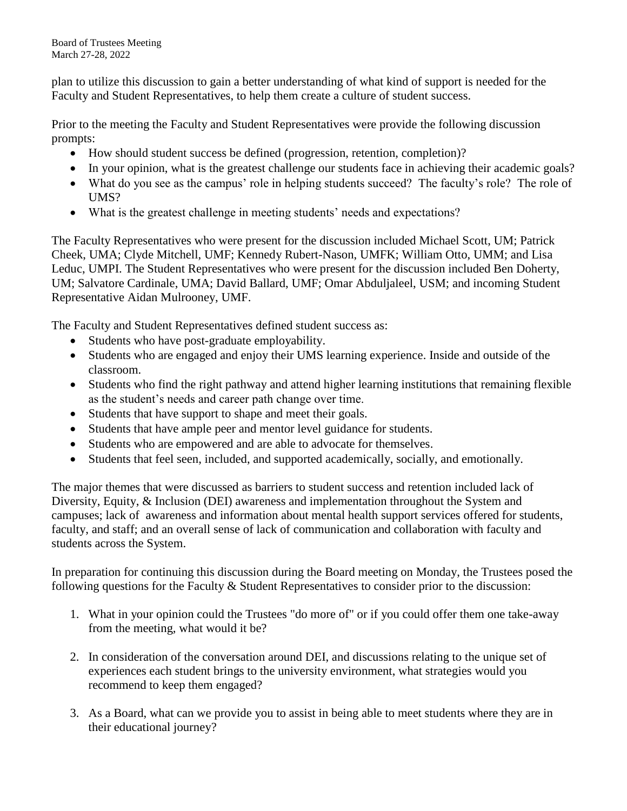plan to utilize this discussion to gain a better understanding of what kind of support is needed for the Faculty and Student Representatives, to help them create a culture of student success.

Prior to the meeting the Faculty and Student Representatives were provide the following discussion prompts:

- How should student success be defined (progression, retention, completion)?
- In your opinion, what is the greatest challenge our students face in achieving their academic goals?
- What do you see as the campus' role in helping students succeed? The faculty's role? The role of UMS?
- What is the greatest challenge in meeting students' needs and expectations?

The Faculty Representatives who were present for the discussion included Michael Scott, UM; Patrick Cheek, UMA; Clyde Mitchell, UMF; Kennedy Rubert-Nason, UMFK; William Otto, UMM; and Lisa Leduc, UMPI. The Student Representatives who were present for the discussion included Ben Doherty, UM; Salvatore Cardinale, UMA; David Ballard, UMF; Omar Abduljaleel, USM; and incoming Student Representative Aidan Mulrooney, UMF.

The Faculty and Student Representatives defined student success as:

- Students who have post-graduate employability.
- Students who are engaged and enjoy their UMS learning experience. Inside and outside of the classroom.
- Students who find the right pathway and attend higher learning institutions that remaining flexible as the student's needs and career path change over time.
- Students that have support to shape and meet their goals.
- Students that have ample peer and mentor level guidance for students.
- Students who are empowered and are able to advocate for themselves.
- Students that feel seen, included, and supported academically, socially, and emotionally.

The major themes that were discussed as barriers to student success and retention included lack of Diversity, Equity, & Inclusion (DEI) awareness and implementation throughout the System and campuses; lack of awareness and information about mental health support services offered for students, faculty, and staff; and an overall sense of lack of communication and collaboration with faculty and students across the System.

In preparation for continuing this discussion during the Board meeting on Monday, the Trustees posed the following questions for the Faculty & Student Representatives to consider prior to the discussion:

- 1. What in your opinion could the Trustees "do more of" or if you could offer them one take-away from the meeting, what would it be?
- 2. In consideration of the conversation around DEI, and discussions relating to the unique set of experiences each student brings to the university environment, what strategies would you recommend to keep them engaged?
- 3. As a Board, what can we provide you to assist in being able to meet students where they are in their educational journey?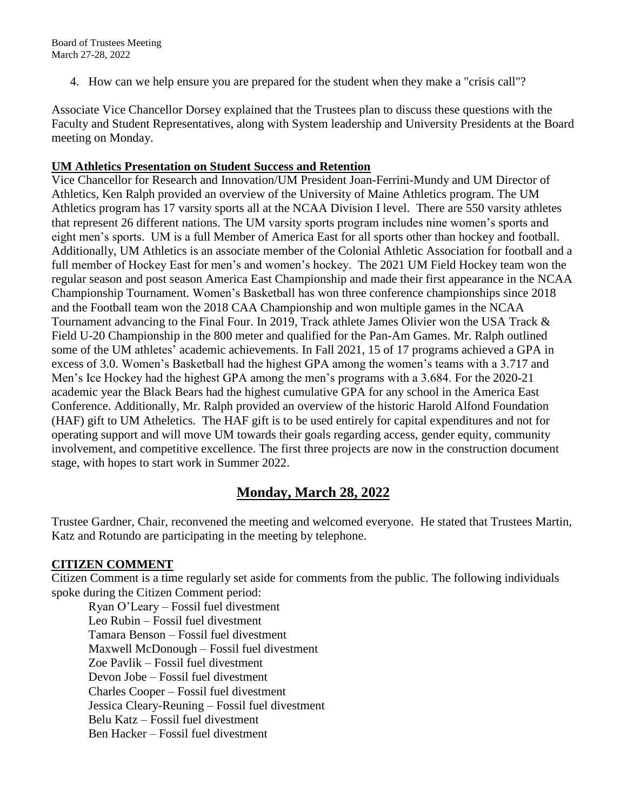4. How can we help ensure you are prepared for the student when they make a "crisis call"?

Associate Vice Chancellor Dorsey explained that the Trustees plan to discuss these questions with the Faculty and Student Representatives, along with System leadership and University Presidents at the Board meeting on Monday.

#### **UM Athletics Presentation on Student Success and Retention**

Vice Chancellor for Research and Innovation/UM President Joan-Ferrini-Mundy and UM Director of Athletics, Ken Ralph provided an overview of the University of Maine Athletics program. The UM Athletics program has 17 varsity sports all at the NCAA Division I level. There are 550 varsity athletes that represent 26 different nations. The UM varsity sports program includes nine women's sports and eight men's sports. UM is a full Member of America East for all sports other than hockey and football. Additionally, UM Athletics is an associate member of the Colonial Athletic Association for football and a full member of Hockey East for men's and women's hockey. The 2021 UM Field Hockey team won the regular season and post season America East Championship and made their first appearance in the NCAA Championship Tournament. Women's Basketball has won three conference championships since 2018 and the Football team won the 2018 CAA Championship and won multiple games in the NCAA Tournament advancing to the Final Four. In 2019, Track athlete James Olivier won the USA Track & Field U-20 Championship in the 800 meter and qualified for the Pan-Am Games. Mr. Ralph outlined some of the UM athletes' academic achievements. In Fall 2021, 15 of 17 programs achieved a GPA in excess of 3.0. Women's Basketball had the highest GPA among the women's teams with a 3.717 and Men's Ice Hockey had the highest GPA among the men's programs with a 3.684. For the 2020-21 academic year the Black Bears had the highest cumulative GPA for any school in the America East Conference. Additionally, Mr. Ralph provided an overview of the historic Harold Alfond Foundation (HAF) gift to UM Atheletics. The HAF gift is to be used entirely for capital expenditures and not for operating support and will move UM towards their goals regarding access, gender equity, community involvement, and competitive excellence. The first three projects are now in the construction document stage, with hopes to start work in Summer 2022.

# **Monday, March 28, 2022**

Trustee Gardner, Chair, reconvened the meeting and welcomed everyone. He stated that Trustees Martin, Katz and Rotundo are participating in the meeting by telephone.

### **CITIZEN COMMENT**

Citizen Comment is a time regularly set aside for comments from the public. The following individuals spoke during the Citizen Comment period:

Ryan O'Leary – Fossil fuel divestment Leo Rubin – Fossil fuel divestment Tamara Benson – Fossil fuel divestment Maxwell McDonough – Fossil fuel divestment Zoe Pavlik – Fossil fuel divestment Devon Jobe – Fossil fuel divestment Charles Cooper – Fossil fuel divestment Jessica Cleary-Reuning – Fossil fuel divestment Belu Katz – Fossil fuel divestment Ben Hacker – Fossil fuel divestment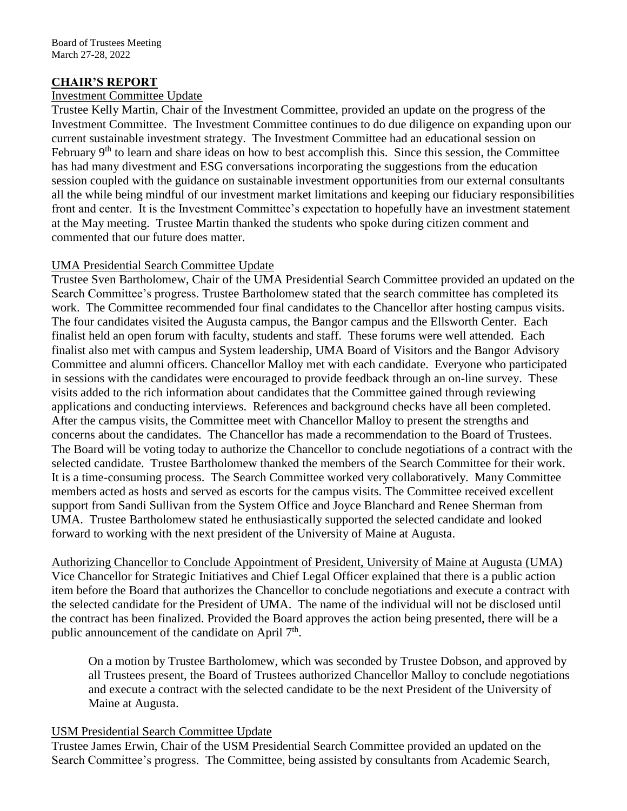### **CHAIR'S REPORT**

### Investment Committee Update

Trustee Kelly Martin, Chair of the Investment Committee, provided an update on the progress of the Investment Committee. The Investment Committee continues to do due diligence on expanding upon our current sustainable investment strategy. The Investment Committee had an educational session on February 9<sup>th</sup> to learn and share ideas on how to best accomplish this. Since this session, the Committee has had many divestment and ESG conversations incorporating the suggestions from the education session coupled with the guidance on sustainable investment opportunities from our external consultants all the while being mindful of our investment market limitations and keeping our fiduciary responsibilities front and center. It is the Investment Committee's expectation to hopefully have an investment statement at the May meeting. Trustee Martin thanked the students who spoke during citizen comment and commented that our future does matter.

### UMA Presidential Search Committee Update

Trustee Sven Bartholomew, Chair of the UMA Presidential Search Committee provided an updated on the Search Committee's progress. Trustee Bartholomew stated that the search committee has completed its work. The Committee recommended four final candidates to the Chancellor after hosting campus visits. The four candidates visited the Augusta campus, the Bangor campus and the Ellsworth Center. Each finalist held an open forum with faculty, students and staff. These forums were well attended. Each finalist also met with campus and System leadership, UMA Board of Visitors and the Bangor Advisory Committee and alumni officers. Chancellor Malloy met with each candidate. Everyone who participated in sessions with the candidates were encouraged to provide feedback through an on-line survey. These visits added to the rich information about candidates that the Committee gained through reviewing applications and conducting interviews. References and background checks have all been completed. After the campus visits, the Committee meet with Chancellor Malloy to present the strengths and concerns about the candidates. The Chancellor has made a recommendation to the Board of Trustees. The Board will be voting today to authorize the Chancellor to conclude negotiations of a contract with the selected candidate. Trustee Bartholomew thanked the members of the Search Committee for their work. It is a time-consuming process. The Search Committee worked very collaboratively. Many Committee members acted as hosts and served as escorts for the campus visits. The Committee received excellent support from Sandi Sullivan from the System Office and Joyce Blanchard and Renee Sherman from UMA. Trustee Bartholomew stated he enthusiastically supported the selected candidate and looked forward to working with the next president of the University of Maine at Augusta.

Authorizing Chancellor to Conclude Appointment of President, University of Maine at Augusta (UMA) Vice Chancellor for Strategic Initiatives and Chief Legal Officer explained that there is a public action item before the Board that authorizes the Chancellor to conclude negotiations and execute a contract with the selected candidate for the President of UMA. The name of the individual will not be disclosed until the contract has been finalized. Provided the Board approves the action being presented, there will be a public announcement of the candidate on April  $7<sup>th</sup>$ .

On a motion by Trustee Bartholomew, which was seconded by Trustee Dobson, and approved by all Trustees present, the Board of Trustees authorized Chancellor Malloy to conclude negotiations and execute a contract with the selected candidate to be the next President of the University of Maine at Augusta.

### USM Presidential Search Committee Update

Trustee James Erwin, Chair of the USM Presidential Search Committee provided an updated on the Search Committee's progress. The Committee, being assisted by consultants from Academic Search,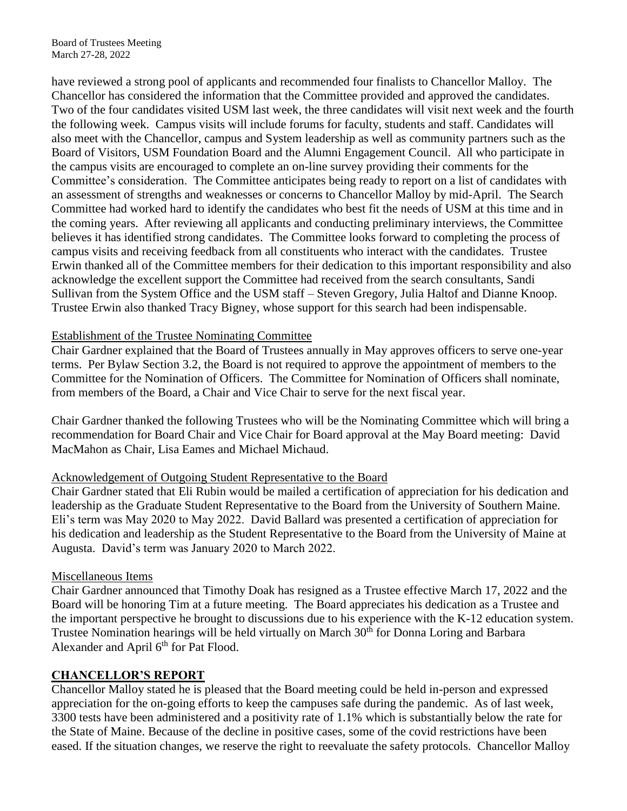have reviewed a strong pool of applicants and recommended four finalists to Chancellor Malloy. The Chancellor has considered the information that the Committee provided and approved the candidates. Two of the four candidates visited USM last week, the three candidates will visit next week and the fourth the following week. Campus visits will include forums for faculty, students and staff. Candidates will also meet with the Chancellor, campus and System leadership as well as community partners such as the Board of Visitors, USM Foundation Board and the Alumni Engagement Council. All who participate in the campus visits are encouraged to complete an on-line survey providing their comments for the Committee's consideration. The Committee anticipates being ready to report on a list of candidates with an assessment of strengths and weaknesses or concerns to Chancellor Malloy by mid-April. The Search Committee had worked hard to identify the candidates who best fit the needs of USM at this time and in the coming years. After reviewing all applicants and conducting preliminary interviews, the Committee believes it has identified strong candidates. The Committee looks forward to completing the process of campus visits and receiving feedback from all constituents who interact with the candidates. Trustee Erwin thanked all of the Committee members for their dedication to this important responsibility and also acknowledge the excellent support the Committee had received from the search consultants, Sandi Sullivan from the System Office and the USM staff – Steven Gregory, Julia Haltof and Dianne Knoop. Trustee Erwin also thanked Tracy Bigney, whose support for this search had been indispensable.

#### Establishment of the Trustee Nominating Committee

Chair Gardner explained that the Board of Trustees annually in May approves officers to serve one-year terms. Per Bylaw Section 3.2, the Board is not required to approve the appointment of members to the Committee for the Nomination of Officers. The Committee for Nomination of Officers shall nominate, from members of the Board, a Chair and Vice Chair to serve for the next fiscal year.

Chair Gardner thanked the following Trustees who will be the Nominating Committee which will bring a recommendation for Board Chair and Vice Chair for Board approval at the May Board meeting: David MacMahon as Chair, Lisa Eames and Michael Michaud.

#### Acknowledgement of Outgoing Student Representative to the Board

Chair Gardner stated that Eli Rubin would be mailed a certification of appreciation for his dedication and leadership as the Graduate Student Representative to the Board from the University of Southern Maine. Eli's term was May 2020 to May 2022. David Ballard was presented a certification of appreciation for his dedication and leadership as the Student Representative to the Board from the University of Maine at Augusta. David's term was January 2020 to March 2022.

#### Miscellaneous Items

Chair Gardner announced that Timothy Doak has resigned as a Trustee effective March 17, 2022 and the Board will be honoring Tim at a future meeting. The Board appreciates his dedication as a Trustee and the important perspective he brought to discussions due to his experience with the K-12 education system. Trustee Nomination hearings will be held virtually on March 30<sup>th</sup> for Donna Loring and Barbara Alexander and April 6<sup>th</sup> for Pat Flood.

#### **CHANCELLOR'S REPORT**

Chancellor Malloy stated he is pleased that the Board meeting could be held in-person and expressed appreciation for the on-going efforts to keep the campuses safe during the pandemic. As of last week, 3300 tests have been administered and a positivity rate of 1.1% which is substantially below the rate for the State of Maine. Because of the decline in positive cases, some of the covid restrictions have been eased. If the situation changes, we reserve the right to reevaluate the safety protocols. Chancellor Malloy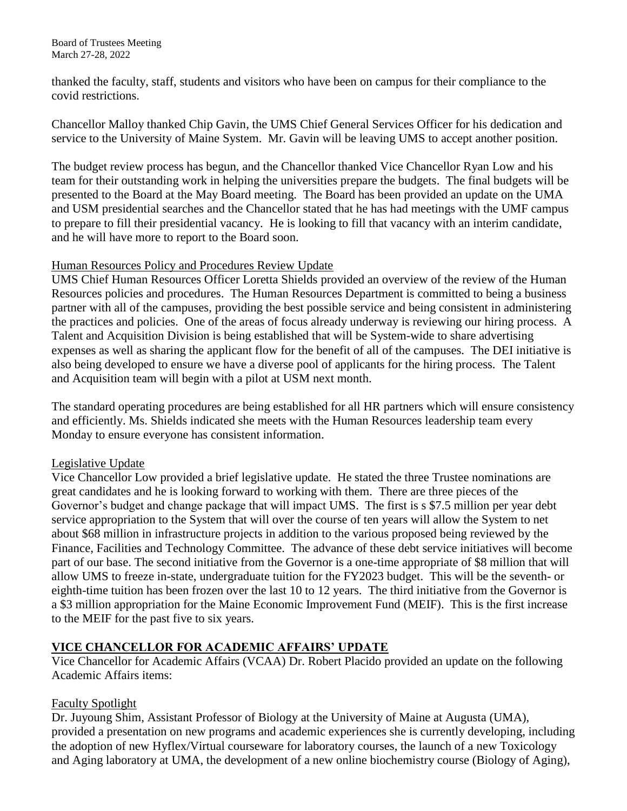thanked the faculty, staff, students and visitors who have been on campus for their compliance to the covid restrictions.

Chancellor Malloy thanked Chip Gavin, the UMS Chief General Services Officer for his dedication and service to the University of Maine System. Mr. Gavin will be leaving UMS to accept another position.

The budget review process has begun, and the Chancellor thanked Vice Chancellor Ryan Low and his team for their outstanding work in helping the universities prepare the budgets. The final budgets will be presented to the Board at the May Board meeting. The Board has been provided an update on the UMA and USM presidential searches and the Chancellor stated that he has had meetings with the UMF campus to prepare to fill their presidential vacancy. He is looking to fill that vacancy with an interim candidate, and he will have more to report to the Board soon.

### Human Resources Policy and Procedures Review Update

UMS Chief Human Resources Officer Loretta Shields provided an overview of the review of the Human Resources policies and procedures. The Human Resources Department is committed to being a business partner with all of the campuses, providing the best possible service and being consistent in administering the practices and policies. One of the areas of focus already underway is reviewing our hiring process. A Talent and Acquisition Division is being established that will be System-wide to share advertising expenses as well as sharing the applicant flow for the benefit of all of the campuses. The DEI initiative is also being developed to ensure we have a diverse pool of applicants for the hiring process. The Talent and Acquisition team will begin with a pilot at USM next month.

The standard operating procedures are being established for all HR partners which will ensure consistency and efficiently. Ms. Shields indicated she meets with the Human Resources leadership team every Monday to ensure everyone has consistent information.

### Legislative Update

Vice Chancellor Low provided a brief legislative update. He stated the three Trustee nominations are great candidates and he is looking forward to working with them. There are three pieces of the Governor's budget and change package that will impact UMS. The first is s \$7.5 million per year debt service appropriation to the System that will over the course of ten years will allow the System to net about \$68 million in infrastructure projects in addition to the various proposed being reviewed by the Finance, Facilities and Technology Committee. The advance of these debt service initiatives will become part of our base. The second initiative from the Governor is a one-time appropriate of \$8 million that will allow UMS to freeze in-state, undergraduate tuition for the FY2023 budget. This will be the seventh- or eighth-time tuition has been frozen over the last 10 to 12 years. The third initiative from the Governor is a \$3 million appropriation for the Maine Economic Improvement Fund (MEIF). This is the first increase to the MEIF for the past five to six years.

# **VICE CHANCELLOR FOR ACADEMIC AFFAIRS' UPDATE**

Vice Chancellor for Academic Affairs (VCAA) Dr. Robert Placido provided an update on the following Academic Affairs items:

### Faculty Spotlight

Dr. Juyoung Shim, Assistant Professor of Biology at the University of Maine at Augusta (UMA), provided a presentation on new programs and academic experiences she is currently developing, including the adoption of new Hyflex/Virtual courseware for laboratory courses, the launch of a new Toxicology and Aging laboratory at UMA, the development of a new online biochemistry course (Biology of Aging),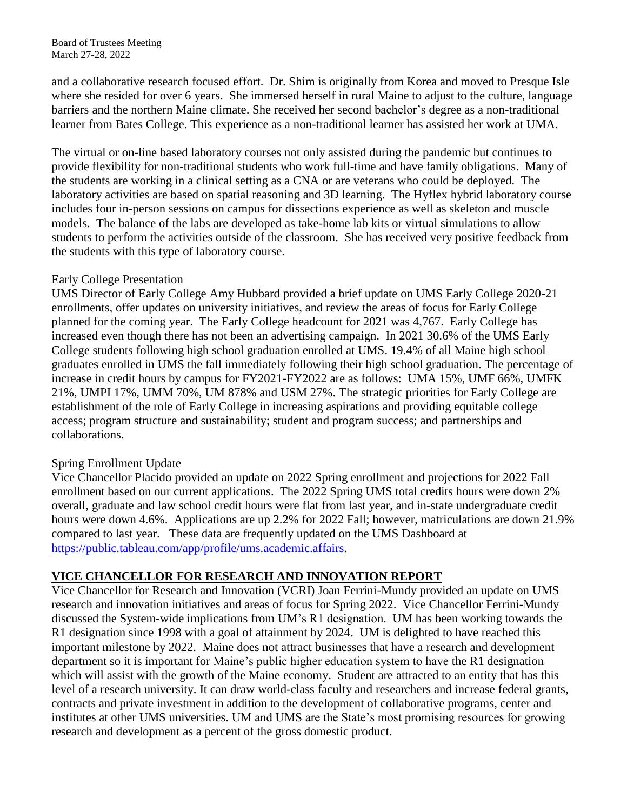and a collaborative research focused effort. Dr. Shim is originally from Korea and moved to Presque Isle where she resided for over 6 years. She immersed herself in rural Maine to adjust to the culture, language barriers and the northern Maine climate. She received her second bachelor's degree as a non-traditional learner from Bates College. This experience as a non-traditional learner has assisted her work at UMA.

The virtual or on-line based laboratory courses not only assisted during the pandemic but continues to provide flexibility for non-traditional students who work full-time and have family obligations. Many of the students are working in a clinical setting as a CNA or are veterans who could be deployed. The laboratory activities are based on spatial reasoning and 3D learning. The Hyflex hybrid laboratory course includes four in-person sessions on campus for dissections experience as well as skeleton and muscle models. The balance of the labs are developed as take-home lab kits or virtual simulations to allow students to perform the activities outside of the classroom. She has received very positive feedback from the students with this type of laboratory course.

#### Early College Presentation

UMS Director of Early College Amy Hubbard provided a brief update on UMS Early College 2020-21 enrollments, offer updates on university initiatives, and review the areas of focus for Early College planned for the coming year. The Early College headcount for 2021 was 4,767. Early College has increased even though there has not been an advertising campaign. In 2021 30.6% of the UMS Early College students following high school graduation enrolled at UMS. 19.4% of all Maine high school graduates enrolled in UMS the fall immediately following their high school graduation. The percentage of increase in credit hours by campus for FY2021-FY2022 are as follows: UMA 15%, UMF 66%, UMFK 21%, UMPI 17%, UMM 70%, UM 878% and USM 27%. The strategic priorities for Early College are establishment of the role of Early College in increasing aspirations and providing equitable college access; program structure and sustainability; student and program success; and partnerships and collaborations.

### Spring Enrollment Update

Vice Chancellor Placido provided an update on 2022 Spring enrollment and projections for 2022 Fall enrollment based on our current applications. The 2022 Spring UMS total credits hours were down 2% overall, graduate and law school credit hours were flat from last year, and in-state undergraduate credit hours were down 4.6%. Applications are up 2.2% for 2022 Fall; however, matriculations are down 21.9% compared to last year. These data are frequently updated on the UMS Dashboard at [https://public.tableau.com/app/profile/ums.academic.affairs.](https://public.tableau.com/app/profile/ums.academic.affairs)

### **VICE CHANCELLOR FOR RESEARCH AND INNOVATION REPORT**

Vice Chancellor for Research and Innovation (VCRI) Joan Ferrini-Mundy provided an update on UMS research and innovation initiatives and areas of focus for Spring 2022. Vice Chancellor Ferrini-Mundy discussed the System-wide implications from UM's R1 designation. UM has been working towards the R1 designation since 1998 with a goal of attainment by 2024. UM is delighted to have reached this important milestone by 2022. Maine does not attract businesses that have a research and development department so it is important for Maine's public higher education system to have the R1 designation which will assist with the growth of the Maine economy. Student are attracted to an entity that has this level of a research university. It can draw world-class faculty and researchers and increase federal grants, contracts and private investment in addition to the development of collaborative programs, center and institutes at other UMS universities. UM and UMS are the State's most promising resources for growing research and development as a percent of the gross domestic product.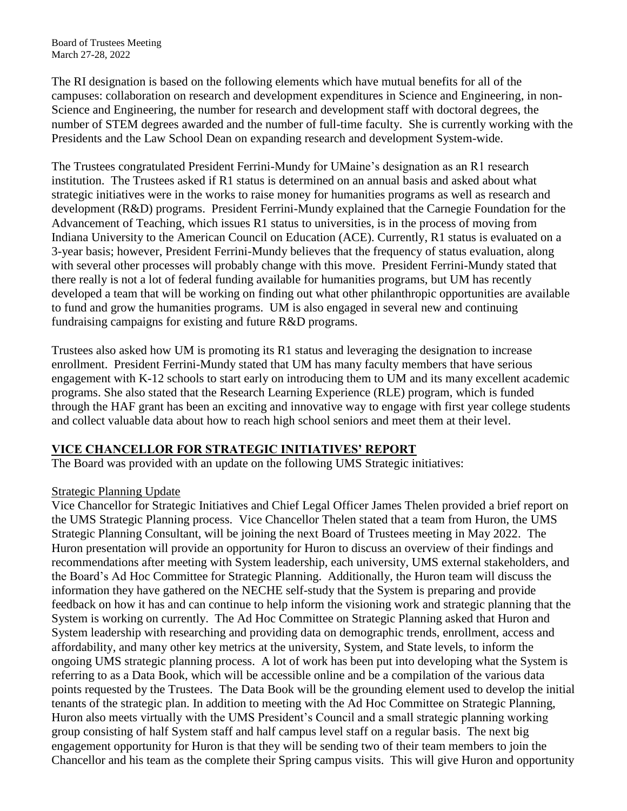The RI designation is based on the following elements which have mutual benefits for all of the campuses: collaboration on research and development expenditures in Science and Engineering, in non-Science and Engineering, the number for research and development staff with doctoral degrees, the number of STEM degrees awarded and the number of full-time faculty. She is currently working with the Presidents and the Law School Dean on expanding research and development System-wide.

The Trustees congratulated President Ferrini-Mundy for UMaine's designation as an R1 research institution. The Trustees asked if R1 status is determined on an annual basis and asked about what strategic initiatives were in the works to raise money for humanities programs as well as research and development (R&D) programs. President Ferrini-Mundy explained that the Carnegie Foundation for the Advancement of Teaching, which issues R1 status to universities, is in the process of moving from Indiana University to the American Council on Education (ACE). Currently, R1 status is evaluated on a 3-year basis; however, President Ferrini-Mundy believes that the frequency of status evaluation, along with several other processes will probably change with this move. President Ferrini-Mundy stated that there really is not a lot of federal funding available for humanities programs, but UM has recently developed a team that will be working on finding out what other philanthropic opportunities are available to fund and grow the humanities programs. UM is also engaged in several new and continuing fundraising campaigns for existing and future R&D programs.

Trustees also asked how UM is promoting its R1 status and leveraging the designation to increase enrollment. President Ferrini-Mundy stated that UM has many faculty members that have serious engagement with K-12 schools to start early on introducing them to UM and its many excellent academic programs. She also stated that the Research Learning Experience (RLE) program, which is funded through the HAF grant has been an exciting and innovative way to engage with first year college students and collect valuable data about how to reach high school seniors and meet them at their level.

#### **VICE CHANCELLOR FOR STRATEGIC INITIATIVES' REPORT**

The Board was provided with an update on the following UMS Strategic initiatives:

#### Strategic Planning Update

Vice Chancellor for Strategic Initiatives and Chief Legal Officer James Thelen provided a brief report on the UMS Strategic Planning process. Vice Chancellor Thelen stated that a team from Huron, the UMS Strategic Planning Consultant, will be joining the next Board of Trustees meeting in May 2022. The Huron presentation will provide an opportunity for Huron to discuss an overview of their findings and recommendations after meeting with System leadership, each university, UMS external stakeholders, and the Board's Ad Hoc Committee for Strategic Planning. Additionally, the Huron team will discuss the information they have gathered on the NECHE self-study that the System is preparing and provide feedback on how it has and can continue to help inform the visioning work and strategic planning that the System is working on currently. The Ad Hoc Committee on Strategic Planning asked that Huron and System leadership with researching and providing data on demographic trends, enrollment, access and affordability, and many other key metrics at the university, System, and State levels, to inform the ongoing UMS strategic planning process. A lot of work has been put into developing what the System is referring to as a Data Book, which will be accessible online and be a compilation of the various data points requested by the Trustees. The Data Book will be the grounding element used to develop the initial tenants of the strategic plan. In addition to meeting with the Ad Hoc Committee on Strategic Planning, Huron also meets virtually with the UMS President's Council and a small strategic planning working group consisting of half System staff and half campus level staff on a regular basis. The next big engagement opportunity for Huron is that they will be sending two of their team members to join the Chancellor and his team as the complete their Spring campus visits. This will give Huron and opportunity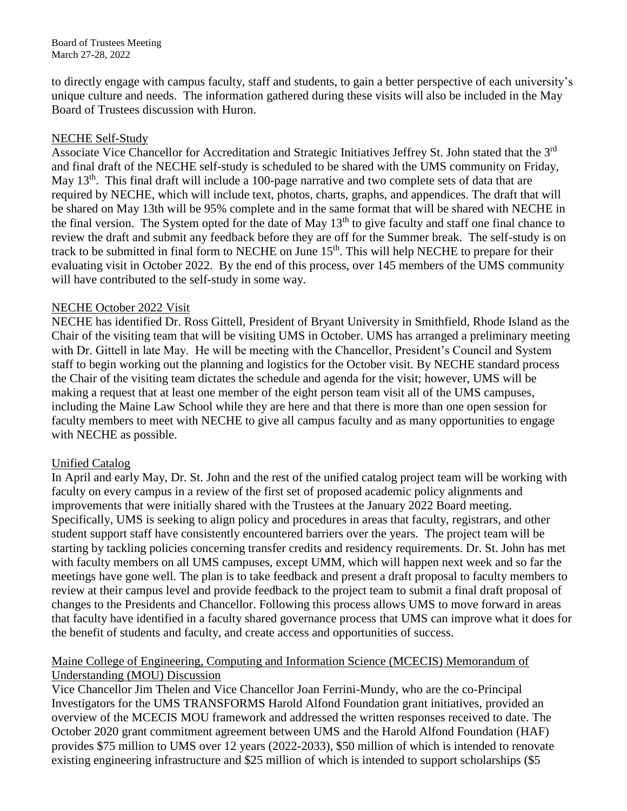to directly engage with campus faculty, staff and students, to gain a better perspective of each university's unique culture and needs. The information gathered during these visits will also be included in the May Board of Trustees discussion with Huron.

#### NECHE Self-Study

Associate Vice Chancellor for Accreditation and Strategic Initiatives Jeffrey St. John stated that the 3rd and final draft of the NECHE self-study is scheduled to be shared with the UMS community on Friday, May 13<sup>th</sup>. This final draft will include a 100-page narrative and two complete sets of data that are required by NECHE, which will include text, photos, charts, graphs, and appendices. The draft that will be shared on May 13th will be 95% complete and in the same format that will be shared with NECHE in the final version. The System opted for the date of May 13<sup>th</sup> to give faculty and staff one final chance to review the draft and submit any feedback before they are off for the Summer break. The self-study is on track to be submitted in final form to NECHE on June 15<sup>th</sup>. This will help NECHE to prepare for their evaluating visit in October 2022. By the end of this process, over 145 members of the UMS community will have contributed to the self-study in some way.

#### NECHE October 2022 Visit

NECHE has identified Dr. Ross Gittell, President of Bryant University in Smithfield, Rhode Island as the Chair of the visiting team that will be visiting UMS in October. UMS has arranged a preliminary meeting with Dr. Gittell in late May. He will be meeting with the Chancellor, President's Council and System staff to begin working out the planning and logistics for the October visit. By NECHE standard process the Chair of the visiting team dictates the schedule and agenda for the visit; however, UMS will be making a request that at least one member of the eight person team visit all of the UMS campuses, including the Maine Law School while they are here and that there is more than one open session for faculty members to meet with NECHE to give all campus faculty and as many opportunities to engage with NECHE as possible.

#### Unified Catalog

In April and early May, Dr. St. John and the rest of the unified catalog project team will be working with faculty on every campus in a review of the first set of proposed academic policy alignments and improvements that were initially shared with the Trustees at the January 2022 Board meeting. Specifically, UMS is seeking to align policy and procedures in areas that faculty, registrars, and other student support staff have consistently encountered barriers over the years. The project team will be starting by tackling policies concerning transfer credits and residency requirements. Dr. St. John has met with faculty members on all UMS campuses, except UMM, which will happen next week and so far the meetings have gone well. The plan is to take feedback and present a draft proposal to faculty members to review at their campus level and provide feedback to the project team to submit a final draft proposal of changes to the Presidents and Chancellor. Following this process allows UMS to move forward in areas that faculty have identified in a faculty shared governance process that UMS can improve what it does for the benefit of students and faculty, and create access and opportunities of success.

#### Maine College of Engineering, Computing and Information Science (MCECIS) Memorandum of Understanding (MOU) Discussion

Vice Chancellor Jim Thelen and Vice Chancellor Joan Ferrini-Mundy, who are the co-Principal Investigators for the UMS TRANSFORMS Harold Alfond Foundation grant initiatives, provided an overview of the MCECIS MOU framework and addressed the written responses received to date. The October 2020 grant commitment agreement between UMS and the Harold Alfond Foundation (HAF) provides \$75 million to UMS over 12 years (2022-2033), \$50 million of which is intended to renovate existing engineering infrastructure and \$25 million of which is intended to support scholarships (\$5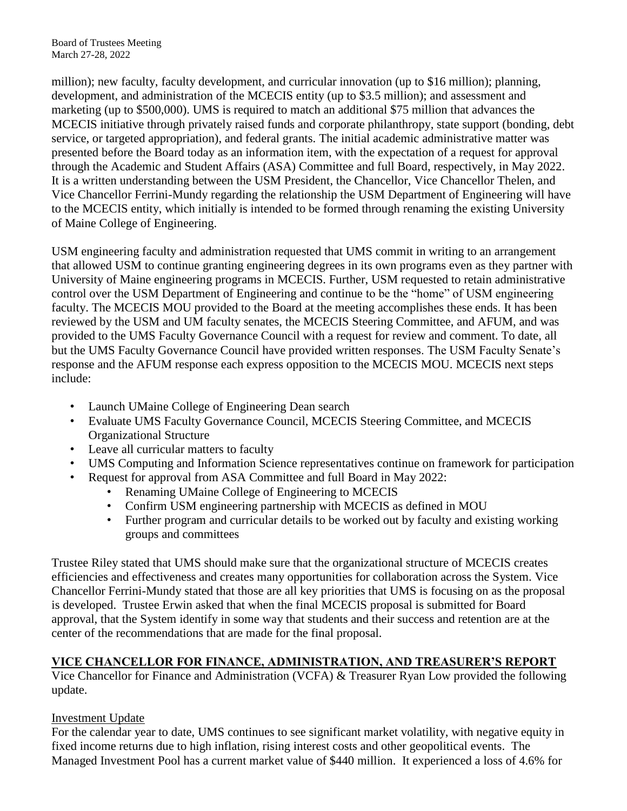million); new faculty, faculty development, and curricular innovation (up to \$16 million); planning, development, and administration of the MCECIS entity (up to \$3.5 million); and assessment and marketing (up to \$500,000). UMS is required to match an additional \$75 million that advances the MCECIS initiative through privately raised funds and corporate philanthropy, state support (bonding, debt service, or targeted appropriation), and federal grants. The initial academic administrative matter was presented before the Board today as an information item, with the expectation of a request for approval through the Academic and Student Affairs (ASA) Committee and full Board, respectively, in May 2022. It is a written understanding between the USM President, the Chancellor, Vice Chancellor Thelen, and Vice Chancellor Ferrini-Mundy regarding the relationship the USM Department of Engineering will have to the MCECIS entity, which initially is intended to be formed through renaming the existing University of Maine College of Engineering.

USM engineering faculty and administration requested that UMS commit in writing to an arrangement that allowed USM to continue granting engineering degrees in its own programs even as they partner with University of Maine engineering programs in MCECIS. Further, USM requested to retain administrative control over the USM Department of Engineering and continue to be the "home" of USM engineering faculty. The MCECIS MOU provided to the Board at the meeting accomplishes these ends. It has been reviewed by the USM and UM faculty senates, the MCECIS Steering Committee, and AFUM, and was provided to the UMS Faculty Governance Council with a request for review and comment. To date, all but the UMS Faculty Governance Council have provided written responses. The USM Faculty Senate's response and the AFUM response each express opposition to the MCECIS MOU. MCECIS next steps include:

- Launch UMaine College of Engineering Dean search
- Evaluate UMS Faculty Governance Council, MCECIS Steering Committee, and MCECIS Organizational Structure
- Leave all curricular matters to faculty
- UMS Computing and Information Science representatives continue on framework for participation
- Request for approval from ASA Committee and full Board in May 2022:
	- Renaming UMaine College of Engineering to MCECIS
	- Confirm USM engineering partnership with MCECIS as defined in MOU
	- Further program and curricular details to be worked out by faculty and existing working groups and committees

Trustee Riley stated that UMS should make sure that the organizational structure of MCECIS creates efficiencies and effectiveness and creates many opportunities for collaboration across the System. Vice Chancellor Ferrini-Mundy stated that those are all key priorities that UMS is focusing on as the proposal is developed. Trustee Erwin asked that when the final MCECIS proposal is submitted for Board approval, that the System identify in some way that students and their success and retention are at the center of the recommendations that are made for the final proposal.

# **VICE CHANCELLOR FOR FINANCE, ADMINISTRATION, AND TREASURER'S REPORT**

Vice Chancellor for Finance and Administration (VCFA) & Treasurer Ryan Low provided the following update.

### Investment Update

For the calendar year to date, UMS continues to see significant market volatility, with negative equity in fixed income returns due to high inflation, rising interest costs and other geopolitical events. The Managed Investment Pool has a current market value of \$440 million. It experienced a loss of 4.6% for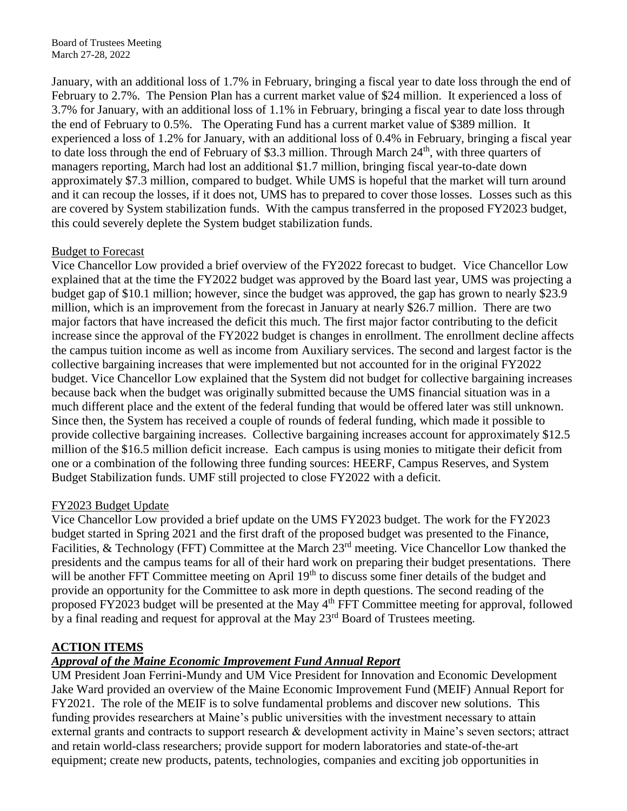January, with an additional loss of 1.7% in February, bringing a fiscal year to date loss through the end of February to 2.7%. The Pension Plan has a current market value of \$24 million. It experienced a loss of 3.7% for January, with an additional loss of 1.1% in February, bringing a fiscal year to date loss through the end of February to 0.5%. The Operating Fund has a current market value of \$389 million. It experienced a loss of 1.2% for January, with an additional loss of 0.4% in February, bringing a fiscal year to date loss through the end of February of \$3.3 million. Through March  $24<sup>th</sup>$ , with three quarters of managers reporting, March had lost an additional \$1.7 million, bringing fiscal year-to-date down approximately \$7.3 million, compared to budget. While UMS is hopeful that the market will turn around and it can recoup the losses, if it does not, UMS has to prepared to cover those losses. Losses such as this are covered by System stabilization funds. With the campus transferred in the proposed FY2023 budget, this could severely deplete the System budget stabilization funds.

### Budget to Forecast

Vice Chancellor Low provided a brief overview of the FY2022 forecast to budget. Vice Chancellor Low explained that at the time the FY2022 budget was approved by the Board last year, UMS was projecting a budget gap of \$10.1 million; however, since the budget was approved, the gap has grown to nearly \$23.9 million, which is an improvement from the forecast in January at nearly \$26.7 million. There are two major factors that have increased the deficit this much. The first major factor contributing to the deficit increase since the approval of the FY2022 budget is changes in enrollment. The enrollment decline affects the campus tuition income as well as income from Auxiliary services. The second and largest factor is the collective bargaining increases that were implemented but not accounted for in the original FY2022 budget. Vice Chancellor Low explained that the System did not budget for collective bargaining increases because back when the budget was originally submitted because the UMS financial situation was in a much different place and the extent of the federal funding that would be offered later was still unknown. Since then, the System has received a couple of rounds of federal funding, which made it possible to provide collective bargaining increases. Collective bargaining increases account for approximately \$12.5 million of the \$16.5 million deficit increase. Each campus is using monies to mitigate their deficit from one or a combination of the following three funding sources: HEERF, Campus Reserves, and System Budget Stabilization funds. UMF still projected to close FY2022 with a deficit.

#### FY2023 Budget Update

Vice Chancellor Low provided a brief update on the UMS FY2023 budget. The work for the FY2023 budget started in Spring 2021 and the first draft of the proposed budget was presented to the Finance, Facilities, & Technology (FFT) Committee at the March 23<sup>rd</sup> meeting. Vice Chancellor Low thanked the presidents and the campus teams for all of their hard work on preparing their budget presentations. There will be another FFT Committee meeting on April 19<sup>th</sup> to discuss some finer details of the budget and provide an opportunity for the Committee to ask more in depth questions. The second reading of the proposed FY2023 budget will be presented at the May 4<sup>th</sup> FFT Committee meeting for approval, followed by a final reading and request for approval at the May 23<sup>rd</sup> Board of Trustees meeting.

### **ACTION ITEMS**

### *Approval of the Maine Economic Improvement Fund Annual Report*

UM President Joan Ferrini-Mundy and UM Vice President for Innovation and Economic Development Jake Ward provided an overview of the Maine Economic Improvement Fund (MEIF) Annual Report for FY2021. The role of the MEIF is to solve fundamental problems and discover new solutions. This funding provides researchers at Maine's public universities with the investment necessary to attain external grants and contracts to support research & development activity in Maine's seven sectors; attract and retain world-class researchers; provide support for modern laboratories and state-of-the-art equipment; create new products, patents, technologies, companies and exciting job opportunities in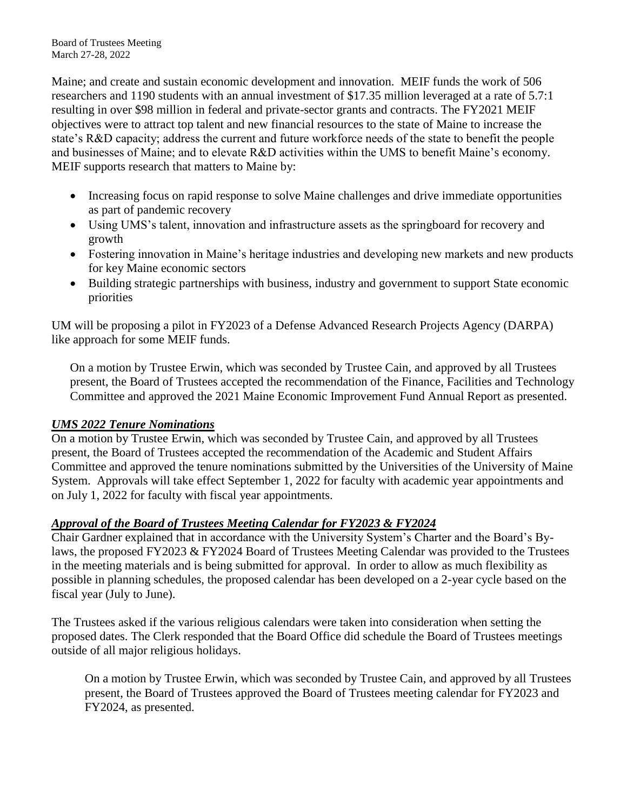Maine; and create and sustain economic development and innovation. MEIF funds the work of 506 researchers and 1190 students with an annual investment of \$17.35 million leveraged at a rate of 5.7:1 resulting in over \$98 million in federal and private-sector grants and contracts. The FY2021 MEIF objectives were to attract top talent and new financial resources to the state of Maine to increase the state's R&D capacity; address the current and future workforce needs of the state to benefit the people and businesses of Maine; and to elevate R&D activities within the UMS to benefit Maine's economy. MEIF supports research that matters to Maine by:

- Increasing focus on rapid response to solve Maine challenges and drive immediate opportunities as part of pandemic recovery
- Using UMS's talent, innovation and infrastructure assets as the springboard for recovery and growth
- Fostering innovation in Maine's heritage industries and developing new markets and new products for key Maine economic sectors
- Building strategic partnerships with business, industry and government to support State economic priorities

UM will be proposing a pilot in FY2023 of a Defense Advanced Research Projects Agency (DARPA) like approach for some MEIF funds.

On a motion by Trustee Erwin, which was seconded by Trustee Cain, and approved by all Trustees present, the Board of Trustees accepted the recommendation of the Finance, Facilities and Technology Committee and approved the 2021 Maine Economic Improvement Fund Annual Report as presented.

### *UMS 2022 Tenure Nominations*

On a motion by Trustee Erwin, which was seconded by Trustee Cain, and approved by all Trustees present, the Board of Trustees accepted the recommendation of the Academic and Student Affairs Committee and approved the tenure nominations submitted by the Universities of the University of Maine System. Approvals will take effect September 1, 2022 for faculty with academic year appointments and on July 1, 2022 for faculty with fiscal year appointments.

# *Approval of the Board of Trustees Meeting Calendar for FY2023 & FY2024*

Chair Gardner explained that in accordance with the University System's Charter and the Board's Bylaws, the proposed FY2023 & FY2024 Board of Trustees Meeting Calendar was provided to the Trustees in the meeting materials and is being submitted for approval. In order to allow as much flexibility as possible in planning schedules, the proposed calendar has been developed on a 2-year cycle based on the fiscal year (July to June).

The Trustees asked if the various religious calendars were taken into consideration when setting the proposed dates. The Clerk responded that the Board Office did schedule the Board of Trustees meetings outside of all major religious holidays.

On a motion by Trustee Erwin, which was seconded by Trustee Cain, and approved by all Trustees present, the Board of Trustees approved the Board of Trustees meeting calendar for FY2023 and FY2024, as presented.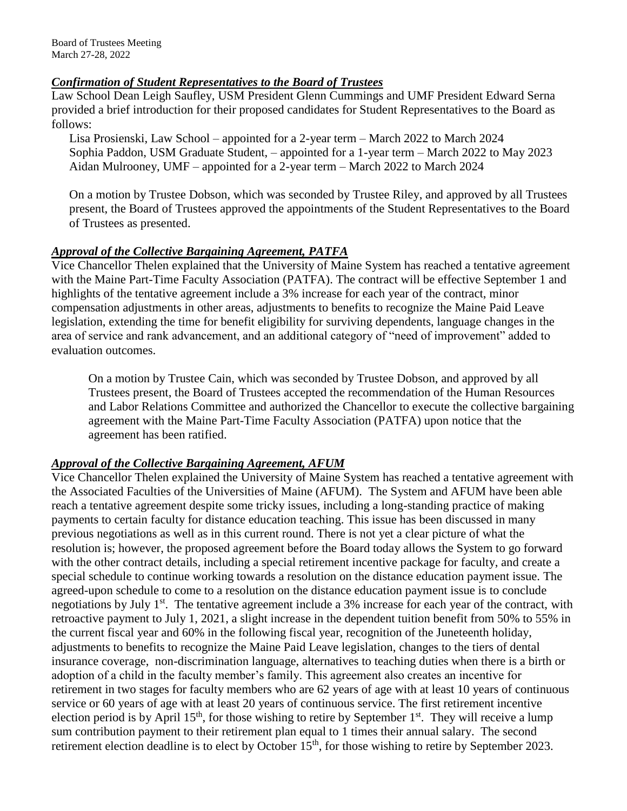#### *Confirmation of Student Representatives to the Board of Trustees*

Law School Dean Leigh Saufley, USM President Glenn Cummings and UMF President Edward Serna provided a brief introduction for their proposed candidates for Student Representatives to the Board as follows:

Lisa Prosienski, Law School – appointed for a 2-year term – March 2022 to March 2024 Sophia Paddon, USM Graduate Student, – appointed for a 1-year term – March 2022 to May 2023 Aidan Mulrooney, UMF – appointed for a 2-year term – March 2022 to March 2024

On a motion by Trustee Dobson, which was seconded by Trustee Riley, and approved by all Trustees present, the Board of Trustees approved the appointments of the Student Representatives to the Board of Trustees as presented.

#### *Approval of the Collective Bargaining Agreement, PATFA*

Vice Chancellor Thelen explained that the University of Maine System has reached a tentative agreement with the Maine Part-Time Faculty Association (PATFA). The contract will be effective September 1 and highlights of the tentative agreement include a 3% increase for each year of the contract, minor compensation adjustments in other areas, adjustments to benefits to recognize the Maine Paid Leave legislation, extending the time for benefit eligibility for surviving dependents, language changes in the area of service and rank advancement, and an additional category of "need of improvement" added to evaluation outcomes.

On a motion by Trustee Cain, which was seconded by Trustee Dobson, and approved by all Trustees present, the Board of Trustees accepted the recommendation of the Human Resources and Labor Relations Committee and authorized the Chancellor to execute the collective bargaining agreement with the Maine Part-Time Faculty Association (PATFA) upon notice that the agreement has been ratified.

### *Approval of the Collective Bargaining Agreement, AFUM*

Vice Chancellor Thelen explained the University of Maine System has reached a tentative agreement with the Associated Faculties of the Universities of Maine (AFUM). The System and AFUM have been able reach a tentative agreement despite some tricky issues, including a long-standing practice of making payments to certain faculty for distance education teaching. This issue has been discussed in many previous negotiations as well as in this current round. There is not yet a clear picture of what the resolution is; however, the proposed agreement before the Board today allows the System to go forward with the other contract details, including a special retirement incentive package for faculty, and create a special schedule to continue working towards a resolution on the distance education payment issue. The agreed-upon schedule to come to a resolution on the distance education payment issue is to conclude negotiations by July 1<sup>st</sup>. The tentative agreement include a 3% increase for each year of the contract, with retroactive payment to July 1, 2021, a slight increase in the dependent tuition benefit from 50% to 55% in the current fiscal year and 60% in the following fiscal year, recognition of the Juneteenth holiday, adjustments to benefits to recognize the Maine Paid Leave legislation, changes to the tiers of dental insurance coverage, non-discrimination language, alternatives to teaching duties when there is a birth or adoption of a child in the faculty member's family. This agreement also creates an incentive for retirement in two stages for faculty members who are 62 years of age with at least 10 years of continuous service or 60 years of age with at least 20 years of continuous service. The first retirement incentive election period is by April  $15<sup>th</sup>$ , for those wishing to retire by September  $1<sup>st</sup>$ . They will receive a lump sum contribution payment to their retirement plan equal to 1 times their annual salary. The second retirement election deadline is to elect by October 15<sup>th</sup>, for those wishing to retire by September 2023.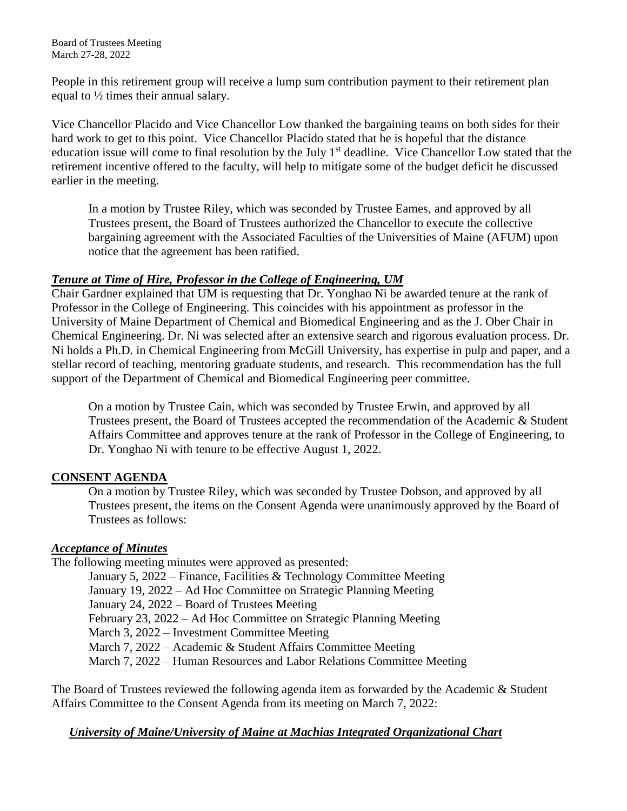People in this retirement group will receive a lump sum contribution payment to their retirement plan equal to ½ times their annual salary.

Vice Chancellor Placido and Vice Chancellor Low thanked the bargaining teams on both sides for their hard work to get to this point. Vice Chancellor Placido stated that he is hopeful that the distance education issue will come to final resolution by the July 1<sup>st</sup> deadline. Vice Chancellor Low stated that the retirement incentive offered to the faculty, will help to mitigate some of the budget deficit he discussed earlier in the meeting.

In a motion by Trustee Riley, which was seconded by Trustee Eames, and approved by all Trustees present, the Board of Trustees authorized the Chancellor to execute the collective bargaining agreement with the Associated Faculties of the Universities of Maine (AFUM) upon notice that the agreement has been ratified.

### *Tenure at Time of Hire, Professor in the College of Engineering, UM*

Chair Gardner explained that UM is requesting that Dr. Yonghao Ni be awarded tenure at the rank of Professor in the College of Engineering. This coincides with his appointment as professor in the University of Maine Department of Chemical and Biomedical Engineering and as the J. Ober Chair in Chemical Engineering. Dr. Ni was selected after an extensive search and rigorous evaluation process. Dr. Ni holds a Ph.D. in Chemical Engineering from McGill University, has expertise in pulp and paper, and a stellar record of teaching, mentoring graduate students, and research. This recommendation has the full support of the Department of Chemical and Biomedical Engineering peer committee.

On a motion by Trustee Cain, which was seconded by Trustee Erwin, and approved by all Trustees present, the Board of Trustees accepted the recommendation of the Academic & Student Affairs Committee and approves tenure at the rank of Professor in the College of Engineering, to Dr. Yonghao Ni with tenure to be effective August 1, 2022.

# **CONSENT AGENDA**

On a motion by Trustee Riley, which was seconded by Trustee Dobson, and approved by all Trustees present, the items on the Consent Agenda were unanimously approved by the Board of Trustees as follows:

### *Acceptance of Minutes*

The following meeting minutes were approved as presented:

January 5, 2022 – Finance, Facilities & Technology Committee Meeting January 19, 2022 – Ad Hoc Committee on Strategic Planning Meeting January 24, 2022 – Board of Trustees Meeting February 23, 2022 – Ad Hoc Committee on Strategic Planning Meeting March 3, 2022 – Investment Committee Meeting March 7, 2022 – Academic & Student Affairs Committee Meeting March 7, 2022 – Human Resources and Labor Relations Committee Meeting

The Board of Trustees reviewed the following agenda item as forwarded by the Academic & Student Affairs Committee to the Consent Agenda from its meeting on March 7, 2022:

# *University of Maine/University of Maine at Machias Integrated Organizational Chart*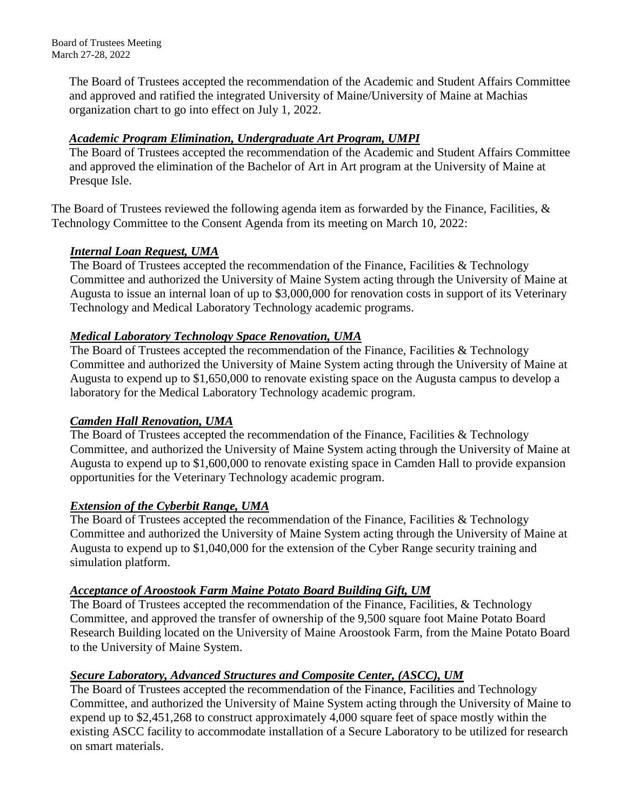> The Board of Trustees accepted the recommendation of the Academic and Student Affairs Committee and approved and ratified the integrated University of Maine/University of Maine at Machias organization chart to go into effect on July 1, 2022.

# *Academic Program Elimination, Undergraduate Art Program, UMPI*

The Board of Trustees accepted the recommendation of the Academic and Student Affairs Committee and approved the elimination of the Bachelor of Art in Art program at the University of Maine at Presque Isle.

The Board of Trustees reviewed the following agenda item as forwarded by the Finance, Facilities, & Technology Committee to the Consent Agenda from its meeting on March 10, 2022:

# *Internal Loan Request, UMA*

The Board of Trustees accepted the recommendation of the Finance, Facilities & Technology Committee and authorized the University of Maine System acting through the University of Maine at Augusta to issue an internal loan of up to \$3,000,000 for renovation costs in support of its Veterinary Technology and Medical Laboratory Technology academic programs.

# *Medical Laboratory Technology Space Renovation, UMA*

The Board of Trustees accepted the recommendation of the Finance, Facilities & Technology Committee and authorized the University of Maine System acting through the University of Maine at Augusta to expend up to \$1,650,000 to renovate existing space on the Augusta campus to develop a laboratory for the Medical Laboratory Technology academic program.

### *Camden Hall Renovation, UMA*

The Board of Trustees accepted the recommendation of the Finance, Facilities & Technology Committee, and authorized the University of Maine System acting through the University of Maine at Augusta to expend up to \$1,600,000 to renovate existing space in Camden Hall to provide expansion opportunities for the Veterinary Technology academic program.

### *Extension of the Cyberbit Range, UMA*

The Board of Trustees accepted the recommendation of the Finance, Facilities & Technology Committee and authorized the University of Maine System acting through the University of Maine at Augusta to expend up to \$1,040,000 for the extension of the Cyber Range security training and simulation platform.

### *Acceptance of Aroostook Farm Maine Potato Board Building Gift, UM*

The Board of Trustees accepted the recommendation of the Finance, Facilities, & Technology Committee, and approved the transfer of ownership of the 9,500 square foot Maine Potato Board Research Building located on the University of Maine Aroostook Farm, from the Maine Potato Board to the University of Maine System.

# *Secure Laboratory, Advanced Structures and Composite Center, (ASCC), UM*

The Board of Trustees accepted the recommendation of the Finance, Facilities and Technology Committee, and authorized the University of Maine System acting through the University of Maine to expend up to \$2,451,268 to construct approximately 4,000 square feet of space mostly within the existing ASCC facility to accommodate installation of a Secure Laboratory to be utilized for research on smart materials.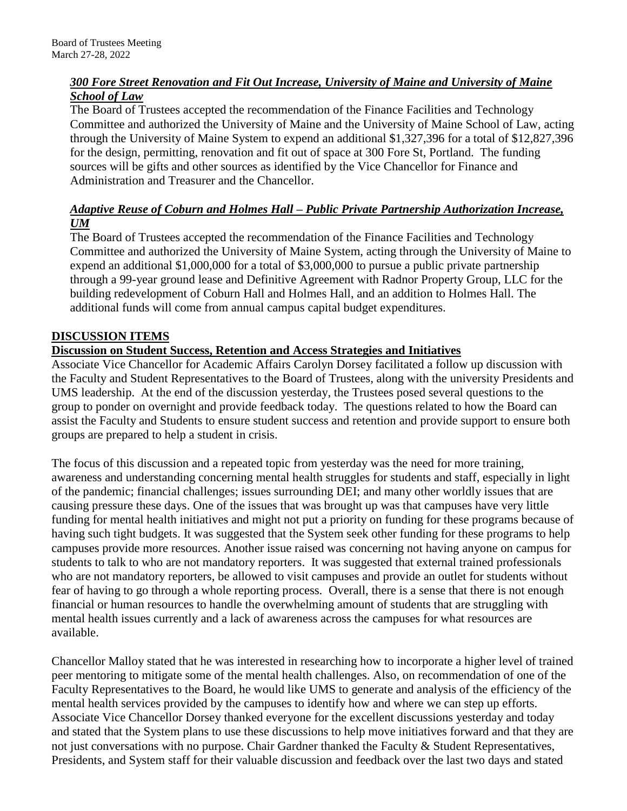# *300 Fore Street Renovation and Fit Out Increase, University of Maine and University of Maine School of Law*

The Board of Trustees accepted the recommendation of the Finance Facilities and Technology Committee and authorized the University of Maine and the University of Maine School of Law, acting through the University of Maine System to expend an additional \$1,327,396 for a total of \$12,827,396 for the design, permitting, renovation and fit out of space at 300 Fore St, Portland. The funding sources will be gifts and other sources as identified by the Vice Chancellor for Finance and Administration and Treasurer and the Chancellor.

# *Adaptive Reuse of Coburn and Holmes Hall – Public Private Partnership Authorization Increase, UM*

The Board of Trustees accepted the recommendation of the Finance Facilities and Technology Committee and authorized the University of Maine System, acting through the University of Maine to expend an additional \$1,000,000 for a total of \$3,000,000 to pursue a public private partnership through a 99-year ground lease and Definitive Agreement with Radnor Property Group, LLC for the building redevelopment of Coburn Hall and Holmes Hall, and an addition to Holmes Hall. The additional funds will come from annual campus capital budget expenditures.

# **DISCUSSION ITEMS**

# **Discussion on Student Success, Retention and Access Strategies and Initiatives**

Associate Vice Chancellor for Academic Affairs Carolyn Dorsey facilitated a follow up discussion with the Faculty and Student Representatives to the Board of Trustees, along with the university Presidents and UMS leadership. At the end of the discussion yesterday, the Trustees posed several questions to the group to ponder on overnight and provide feedback today. The questions related to how the Board can assist the Faculty and Students to ensure student success and retention and provide support to ensure both groups are prepared to help a student in crisis.

The focus of this discussion and a repeated topic from yesterday was the need for more training, awareness and understanding concerning mental health struggles for students and staff, especially in light of the pandemic; financial challenges; issues surrounding DEI; and many other worldly issues that are causing pressure these days. One of the issues that was brought up was that campuses have very little funding for mental health initiatives and might not put a priority on funding for these programs because of having such tight budgets. It was suggested that the System seek other funding for these programs to help campuses provide more resources. Another issue raised was concerning not having anyone on campus for students to talk to who are not mandatory reporters. It was suggested that external trained professionals who are not mandatory reporters, be allowed to visit campuses and provide an outlet for students without fear of having to go through a whole reporting process. Overall, there is a sense that there is not enough financial or human resources to handle the overwhelming amount of students that are struggling with mental health issues currently and a lack of awareness across the campuses for what resources are available.

Chancellor Malloy stated that he was interested in researching how to incorporate a higher level of trained peer mentoring to mitigate some of the mental health challenges. Also, on recommendation of one of the Faculty Representatives to the Board, he would like UMS to generate and analysis of the efficiency of the mental health services provided by the campuses to identify how and where we can step up efforts. Associate Vice Chancellor Dorsey thanked everyone for the excellent discussions yesterday and today and stated that the System plans to use these discussions to help move initiatives forward and that they are not just conversations with no purpose. Chair Gardner thanked the Faculty & Student Representatives, Presidents, and System staff for their valuable discussion and feedback over the last two days and stated